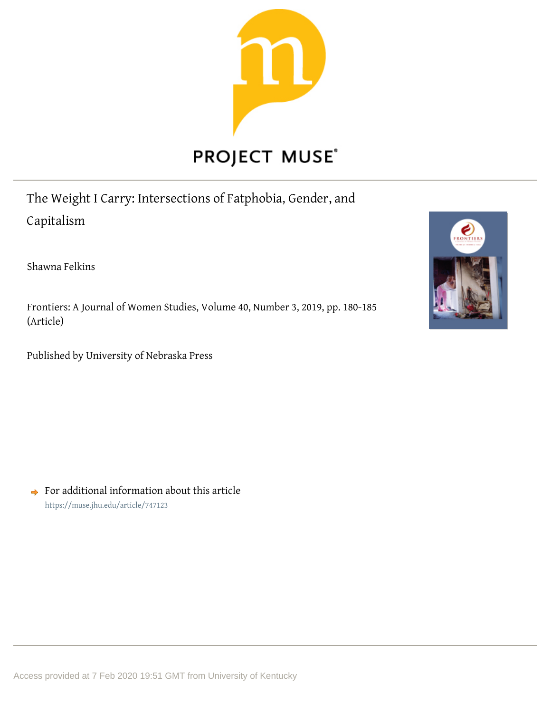

The Weight I Carry: Intersections of Fatphobia, Gender, and Capitalism

Shawna Felkins

Frontiers: A Journal of Women Studies, Volume 40, Number 3, 2019, pp. 180-185 (Article)

Published by University of Nebraska Press



 $\rightarrow$  For additional information about this article <https://muse.jhu.edu/article/747123>

Access provided at 7 Feb 2020 19:51 GMT from University of Kentucky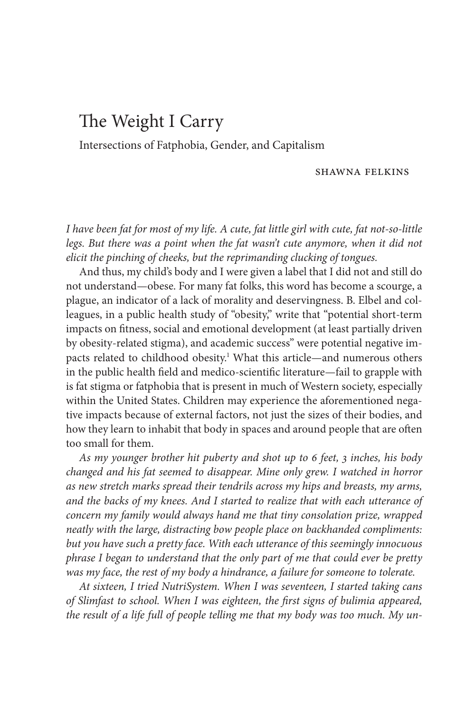# The Weight I Carry

Intersections of Fatphobia, Gender, and Capitalism

### SHAWNA FELKINS

*I have been fat for most of my life. A cute, fat little girl with cute, fat not- so- little legs. But there was a point when the fat wasn't cute anymore, when it did not elicit the pinching of cheeks, but the reprimanding clucking of tongues.*

And thus, my child's body and I were given a label that I did not and still do not understand— obese. For many fat folks, this word has become a scourge, a plague, an indicator of a lack of morality and deservingness. B. Elbel and colleagues, in a public health study of "obesity," write that "potential short- term impacts on fitness, social and emotional development (at least partially driven by obesity- related stigma), and academic success" were potential negative impacts related to childhood obesity.<sup>1</sup> What this article—and numerous others in the public health field and medico-scientific literature—fail to grapple with is fat stigma or fatphobia that is present in much of Western society, especially within the United States. Children may experience the aforementioned negative impacts because of external factors, not just the sizes of their bodies, and how they learn to inhabit that body in spaces and around people that are often too small for them.

*As my younger brother hit puberty and shot up to 6 feet, 3 inches, his body changed and his fat seemed to disappear. Mine only grew. I watched in horror as new stretch marks spread their tendrils across my hips and breasts, my arms, and the backs of my knees. And I started to realize that with each utterance of concern my family would always hand me that tiny consolation prize, wrapped neatly with the large, distracting bow people place on backhanded compliments: but you have such a pretty face. With each utterance of this seemingly innocuous phrase I began to understand that the only part of me that could ever be pretty was my face, the rest of my body a hindrance, a failure for someone to tolerate.*

*At sixteen, I tried NutriSystem. When I was seventeen, I started taking cans*  of Slimfast to school. When I was eighteen, the first signs of bulimia appeared, *the result of a life full of people telling me that my body was too much. My un-*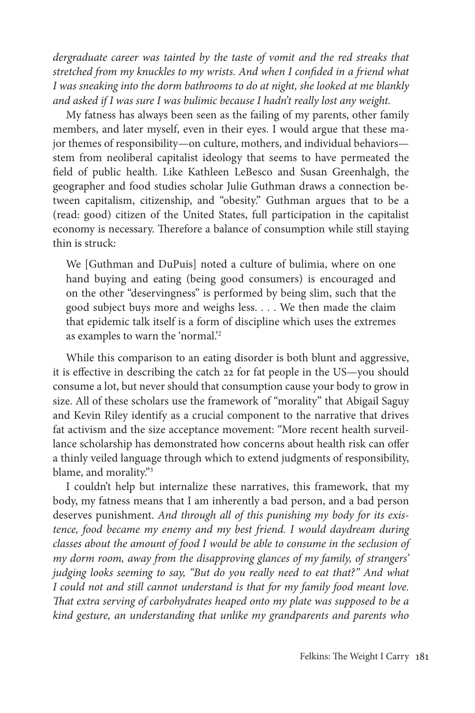*dergraduate career was tainted by the taste of vomit and the red streaks that stretched from my knuckles to my wrists. And when I confided in a friend what I was sneaking into the dorm bathrooms to do at night, she looked at me blankly and asked if I was sure I was bulimic because I hadn't really lost any weight.*

My fatness has always been seen as the failing of my parents, other family members, and later myself, even in their eyes. I would argue that these major themes of responsibility— on culture, mothers, and individual behaviors stem from neoliberal capitalist ideology that seems to have permeated the field of public health. Like Kathleen LeBesco and Susan Greenhalgh, the geographer and food studies scholar Julie Guthman draws a connection between capitalism, citizenship, and "obesity." Guthman argues that to be a (read: good) citizen of the United States, full participation in the capitalist economy is necessary. Therefore a balance of consumption while still staying thin is struck:

We [Guthman and DuPuis] noted a culture of bulimia, where on one hand buying and eating (being good consumers) is encouraged and on the other "deservingness" is performed by being slim, such that the good subject buys more and weighs less. . . . We then made the claim that epidemic talk itself is a form of discipline which uses the extremes as examples to warn the 'normal.'2

While this comparison to an eating disorder is both blunt and aggressive, it is effective in describing the catch 22 for fat people in the US—you should consume a lot, but never should that consumption cause your body to grow in size. All of these scholars use the framework of "morality" that Abigail Saguy and Kevin Riley identify as a crucial component to the narrative that drives fat activism and the size acceptance movement: "More recent health surveillance scholarship has demonstrated how concerns about health risk can offer a thinly veiled language through which to extend judgments of responsibility, blame, and morality."3

I couldn't help but internalize these narratives, this framework, that my body, my fatness means that I am inherently a bad person, and a bad person deserves punishment. *And through all of this punishing my body for its existence, food became my enemy and my best friend. I would daydream during classes about the amount of food I would be able to consume in the seclusion of my dorm room, away from the disapproving glances of my family, of strangers' judging looks seeming to say, "But do you really need to eat that?" And what I could not and still cannot understand is that for my family food meant love. Th at extra serving of carbohydrates heaped onto my plate was supposed to be a kind gesture, an understanding that unlike my grandparents and parents who*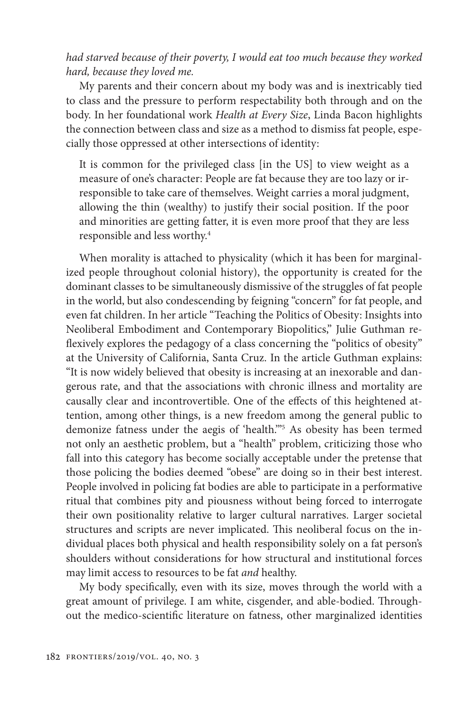## *had starved because of their poverty, I would eat too much because they worked hard, because they loved me.*

My parents and their concern about my body was and is inextricably tied to class and the pressure to perform respectability both through and on the body. In her foundational work *Health at Every Size*, Linda Bacon highlights the connection between class and size as a method to dismiss fat people, especially those oppressed at other intersections of identity:

It is common for the privileged class [in the US] to view weight as a measure of one's character: People are fat because they are too lazy or irresponsible to take care of themselves. Weight carries a moral judgment, allowing the thin (wealthy) to justify their social position. If the poor and minorities are getting fatter, it is even more proof that they are less responsible and less worthy.4

When morality is attached to physicality (which it has been for marginalized people throughout colonial history), the opportunity is created for the dominant classes to be simultaneously dismissive of the struggles of fat people in the world, but also condescending by feigning "concern" for fat people, and even fat children. In her article "Teaching the Politics of Obesity: Insights into Neoliberal Embodiment and Contemporary Biopolitics," Julie Guthman reflexively explores the pedagogy of a class concerning the "politics of obesity" at the University of California, Santa Cruz. In the article Guthman explains: "It is now widely believed that obesity is increasing at an inexorable and dangerous rate, and that the associations with chronic illness and mortality are causally clear and incontrovertible. One of the effects of this heightened attention, among other things, is a new freedom among the general public to demonize fatness under the aegis of 'health.'"5 As obesity has been termed not only an aesthetic problem, but a "health" problem, criticizing those who fall into this category has become socially acceptable under the pretense that those policing the bodies deemed "obese" are doing so in their best interest. People involved in policing fat bodies are able to participate in a performative ritual that combines pity and piousness without being forced to interrogate their own positionality relative to larger cultural narratives. Larger societal structures and scripts are never implicated. This neoliberal focus on the individual places both physical and health responsibility solely on a fat person's shoulders without considerations for how structural and institutional forces may limit access to resources to be fat *and* healthy.

My body specifically, even with its size, moves through the world with a great amount of privilege. I am white, cisgender, and able-bodied. Throughout the medico-scientific literature on fatness, other marginalized identities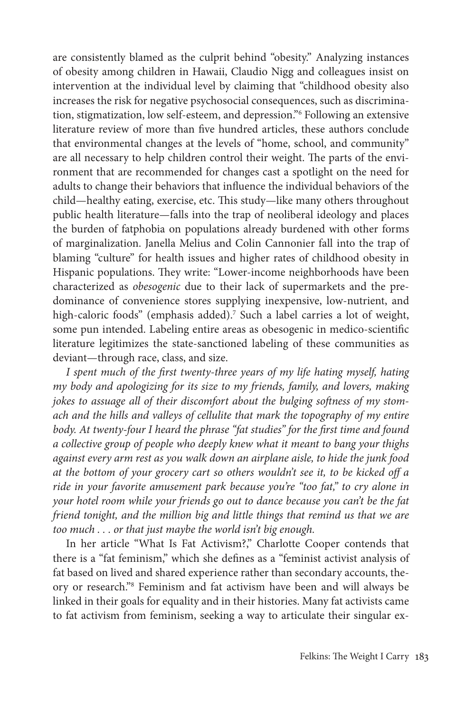are consistently blamed as the culprit behind "obesity." Analyzing instances of obesity among children in Hawaii, Claudio Nigg and colleagues insist on intervention at the individual level by claiming that "childhood obesity also increases the risk for negative psychosocial consequences, such as discrimination, stigmatization, low self- esteem, and depression."6 Following an extensive literature review of more than five hundred articles, these authors conclude that environmental changes at the levels of "home, school, and community" are all necessary to help children control their weight. The parts of the environment that are recommended for changes cast a spotlight on the need for adults to change their behaviors that influence the individual behaviors of the child—healthy eating, exercise, etc. This study—like many others throughout public health literature— falls into the trap of neoliberal ideology and places the burden of fatphobia on populations already burdened with other forms of marginalization. Janella Melius and Colin Cannonier fall into the trap of blaming "culture" for health issues and higher rates of childhood obesity in Hispanic populations. They write: "Lower-income neighborhoods have been characterized as *obesogenic* due to their lack of supermarkets and the predominance of convenience stores supplying inexpensive, low-nutrient, and high-caloric foods" (emphasis added).<sup>7</sup> Such a label carries a lot of weight, some pun intended. Labeling entire areas as obesogenic in medico-scientific literature legitimizes the state- sanctioned labeling of these communities as deviant— through race, class, and size.

I spent much of the first twenty-three years of my life hating myself, hating *my body and apologizing for its size to my friends, family, and lovers, making jokes to assuage all of their discomfort about the bulging softness of my stomach and the hills and valleys of cellulite that mark the topography of my entire body. At twenty-four I heard the phrase "fat studies" for the first time and found a collective group of people who deeply knew what it meant to bang your thighs against every arm rest as you walk down an airplane aisle, to hide the junk food at the bottom of your grocery cart so others wouldn't see it, to be kicked off a ride in your favorite amusement park because you're "too fat," to cry alone in your hotel room while your friends go out to dance because you can't be the fat friend tonight, and the million big and little things that remind us that we are too much . . . or that just maybe the world isn't big enough.*

In her article "What Is Fat Activism?," Charlotte Cooper contends that there is a "fat feminism," which she defines as a "feminist activist analysis of fat based on lived and shared experience rather than secondary accounts, theory or research."8 Feminism and fat activism have been and will always be linked in their goals for equality and in their histories. Many fat activists came to fat activism from feminism, seeking a way to articulate their singular ex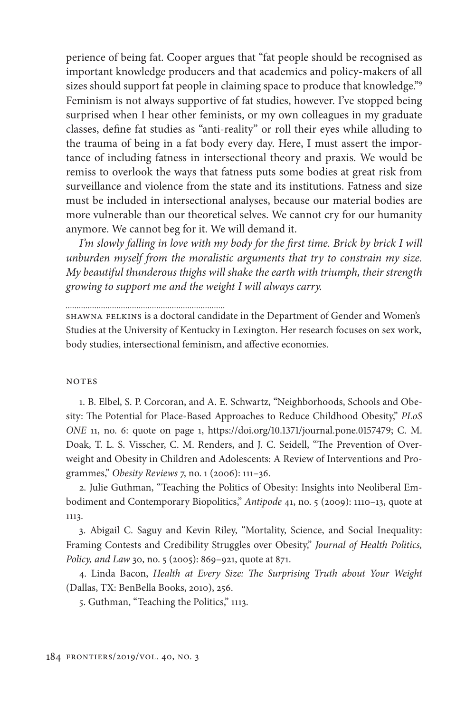perience of being fat. Cooper argues that "fat people should be recognised as important knowledge producers and that academics and policy- makers of all sizes should support fat people in claiming space to produce that knowledge."<sup>9</sup> Feminism is not always supportive of fat studies, however. I've stopped being surprised when I hear other feminists, or my own colleagues in my graduate classes, define fat studies as "anti-reality" or roll their eyes while alluding to the trauma of being in a fat body every day. Here, I must assert the importance of including fatness in intersectional theory and praxis. We would be remiss to overlook the ways that fatness puts some bodies at great risk from surveillance and violence from the state and its institutions. Fatness and size must be included in intersectional analyses, because our material bodies are more vulnerable than our theoretical selves. We cannot cry for our humanity anymore. We cannot beg for it. We will demand it.

*I'm slowly falling in love with my body for the first time. Brick by brick I will unburden myself from the moralistic arguments that try to constrain my size. My beautiful thunderous thighs will shake the earth with triumph, their strength growing to support me and the weight I will always carry.*

Shawna Felkins is a doctoral candidate in the Department of Gender and Women's Studies at the University of Kentucky in Lexington. Her research focuses on sex work, body studies, intersectional feminism, and affective economies.

### **NOTES**

1. B. Elbel, S. P. Corcoran, and A. E. Schwartz, "Neighborhoods, Schools and Obesity: The Potential for Place-Based Approaches to Reduce Childhood Obesity," *PLoS ONE* 11, no. 6: quote on page 1, https://doi.org/10.1371/journal.pone.0157479; C. M. Doak, T. L. S. Visscher, C. M. Renders, and J. C. Seidell, "The Prevention of Overweight and Obesity in Children and Adolescents: A Review of Interventions and Programmes," *Obesity Reviews* 7, no. 1 (2006): 111– 36.

2. Julie Guthman, "Teaching the Politics of Obesity: Insights into Neoliberal Embodiment and Contemporary Biopolitics," Antipode 41, no. 5 (2009): 1110-13, quote at 1113.

3. Abigail C. Saguy and Kevin Riley, "Mortality, Science, and Social Inequality: Framing Contests and Credibility Struggles over Obesity," *Journal of Health Politics, Policy, and Law* 30, no. 5 (2005): 869-921, quote at 871.

4. Linda Bacon, *Health at Every Size: The Surprising Truth about Your Weight* (Dallas, TX: BenBella Books, 2010), 256.

5. Guthman, "Teaching the Politics," 1113.